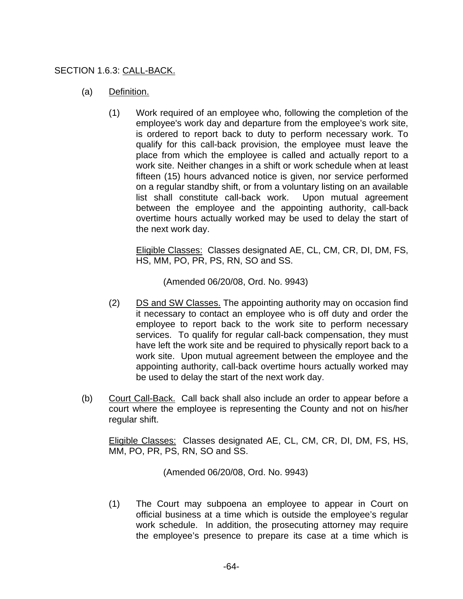## SECTION 1.6.3: CALL-BACK.

- (a) Definition.
	- (1) Work required of an employee who, following the completion of the employee's work day and departure from the employee's work site, is ordered to report back to duty to perform necessary work. To qualify for this call-back provision, the employee must leave the place from which the employee is called and actually report to a work site. Neither changes in a shift or work schedule when at least fifteen (15) hours advanced notice is given, nor service performed on a regular standby shift, or from a voluntary listing on an available list shall constitute call-back work. Upon mutual agreement between the employee and the appointing authority, call-back overtime hours actually worked may be used to delay the start of the next work day.

Eligible Classes: Classes designated AE, CL, CM, CR, DI, DM, FS, HS, MM, PO, PR, PS, RN, SO and SS.

(Amended 06/20/08, Ord. No. 9943)

- (2) DS and SW Classes. The appointing authority may on occasion find it necessary to contact an employee who is off duty and order the employee to report back to the work site to perform necessary services. To qualify for regular call-back compensation, they must have left the work site and be required to physically report back to a work site. Upon mutual agreement between the employee and the appointing authority, call-back overtime hours actually worked may be used to delay the start of the next work day.
- (b) Court Call-Back. Call back shall also include an order to appear before a court where the employee is representing the County and not on his/her regular shift.

Eligible Classes: Classes designated AE, CL, CM, CR, DI, DM, FS, HS, MM, PO, PR, PS, RN, SO and SS.

(Amended 06/20/08, Ord. No. 9943)

(1) The Court may subpoena an employee to appear in Court on official business at a time which is outside the employee's regular work schedule. In addition, the prosecuting attorney may require the employee's presence to prepare its case at a time which is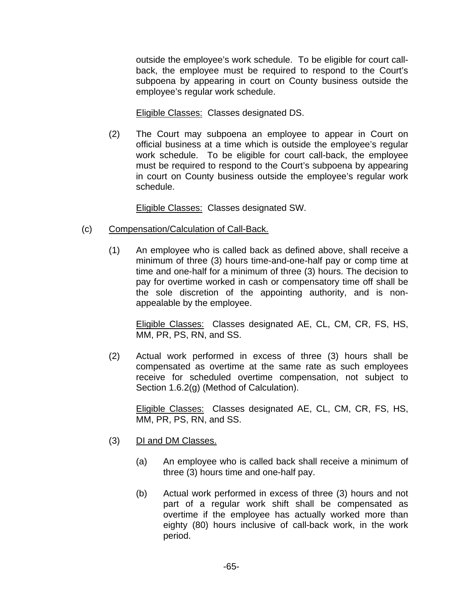outside the employee's work schedule. To be eligible for court callback, the employee must be required to respond to the Court's subpoena by appearing in court on County business outside the employee's regular work schedule.

Eligible Classes: Classes designated DS.

(2) The Court may subpoena an employee to appear in Court on official business at a time which is outside the employee's regular work schedule. To be eligible for court call-back, the employee must be required to respond to the Court's subpoena by appearing in court on County business outside the employee's regular work schedule.

Eligible Classes: Classes designated SW.

- (c) Compensation/Calculation of Call-Back.
	- (1) An employee who is called back as defined above, shall receive a minimum of three (3) hours time-and-one-half pay or comp time at time and one-half for a minimum of three (3) hours. The decision to pay for overtime worked in cash or compensatory time off shall be the sole discretion of the appointing authority, and is nonappealable by the employee.

Eligible Classes: Classes designated AE, CL, CM, CR, FS, HS, MM, PR, PS, RN, and SS.

(2) Actual work performed in excess of three (3) hours shall be compensated as overtime at the same rate as such employees receive for scheduled overtime compensation, not subject to Section 1.6.2(g) (Method of Calculation).

Eligible Classes: Classes designated AE, CL, CM, CR, FS, HS, MM, PR, PS, RN, and SS.

- (3) DI and DM Classes.
	- (a) An employee who is called back shall receive a minimum of three (3) hours time and one-half pay.
	- (b) Actual work performed in excess of three (3) hours and not part of a regular work shift shall be compensated as overtime if the employee has actually worked more than eighty (80) hours inclusive of call-back work, in the work period.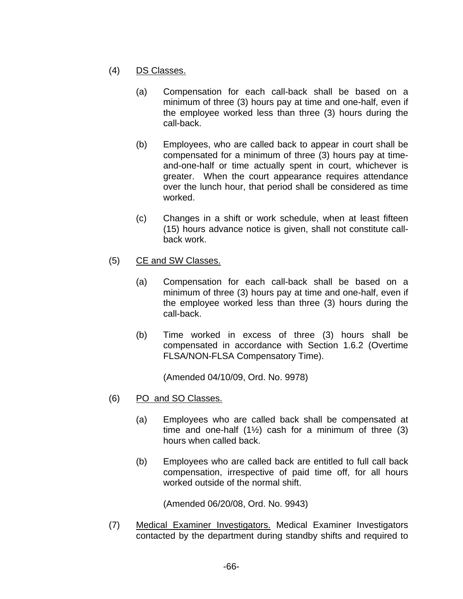- (4) DS Classes.
	- (a) Compensation for each call-back shall be based on a minimum of three (3) hours pay at time and one-half, even if the employee worked less than three (3) hours during the call-back.
	- (b) Employees, who are called back to appear in court shall be compensated for a minimum of three (3) hours pay at timeand-one-half or time actually spent in court, whichever is greater. When the court appearance requires attendance over the lunch hour, that period shall be considered as time worked.
	- (c) Changes in a shift or work schedule, when at least fifteen (15) hours advance notice is given, shall not constitute callback work.
- (5) CE and SW Classes.
	- (a) Compensation for each call-back shall be based on a minimum of three (3) hours pay at time and one-half, even if the employee worked less than three (3) hours during the call-back.
	- (b) Time worked in excess of three (3) hours shall be compensated in accordance with Section 1.6.2 (Overtime FLSA/NON-FLSA Compensatory Time).

(Amended 04/10/09, Ord. No. 9978)

- (6) PO and SO Classes.
	- (a) Employees who are called back shall be compensated at time and one-half  $(1/2)$  cash for a minimum of three  $(3)$ hours when called back.
	- (b) Employees who are called back are entitled to full call back compensation, irrespective of paid time off, for all hours worked outside of the normal shift.

(Amended 06/20/08, Ord. No. 9943)

(7) Medical Examiner Investigators. Medical Examiner Investigators contacted by the department during standby shifts and required to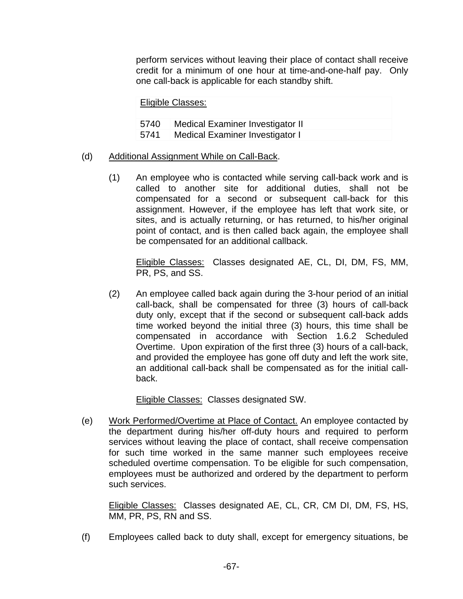perform services without leaving their place of contact shall receive credit for a minimum of one hour at time-and-one-half pay. Only one call-back is applicable for each standby shift.

Eligible Classes:

| 5740 | Medical Examiner Investigator II |
|------|----------------------------------|
| 5741 | Medical Examiner Investigator I  |

## (d) Additional Assignment While on Call-Back.

(1) An employee who is contacted while serving call-back work and is called to another site for additional duties, shall not be compensated for a second or subsequent call-back for this assignment. However, if the employee has left that work site, or sites, and is actually returning, or has returned, to his/her original point of contact, and is then called back again, the employee shall be compensated for an additional callback.

Eligible Classes: Classes designated AE, CL, DI, DM, FS, MM, PR, PS, and SS.

(2) An employee called back again during the 3-hour period of an initial call-back, shall be compensated for three (3) hours of call-back duty only, except that if the second or subsequent call-back adds time worked beyond the initial three (3) hours, this time shall be compensated in accordance with Section 1.6.2 Scheduled Overtime. Upon expiration of the first three (3) hours of a call-back, and provided the employee has gone off duty and left the work site, an additional call-back shall be compensated as for the initial callback.

Eligible Classes: Classes designated SW.

(e) Work Performed/Overtime at Place of Contact. An employee contacted by the department during his/her off-duty hours and required to perform services without leaving the place of contact, shall receive compensation for such time worked in the same manner such employees receive scheduled overtime compensation. To be eligible for such compensation, employees must be authorized and ordered by the department to perform such services.

Eligible Classes: Classes designated AE, CL, CR, CM DI, DM, FS, HS, MM, PR, PS, RN and SS.

(f) Employees called back to duty shall, except for emergency situations, be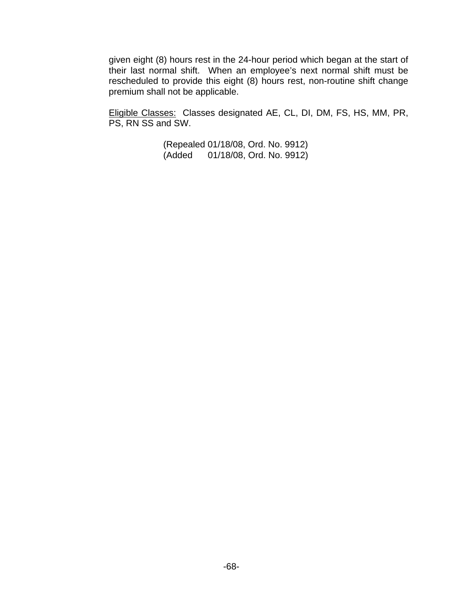given eight (8) hours rest in the 24-hour period which began at the start of their last normal shift. When an employee's next normal shift must be rescheduled to provide this eight (8) hours rest, non-routine shift change premium shall not be applicable.

Eligible Classes: Classes designated AE, CL, DI, DM, FS, HS, MM, PR, PS, RN SS and SW.

> (Repealed 01/18/08, Ord. No. 9912) (Added 01/18/08, Ord. No. 9912)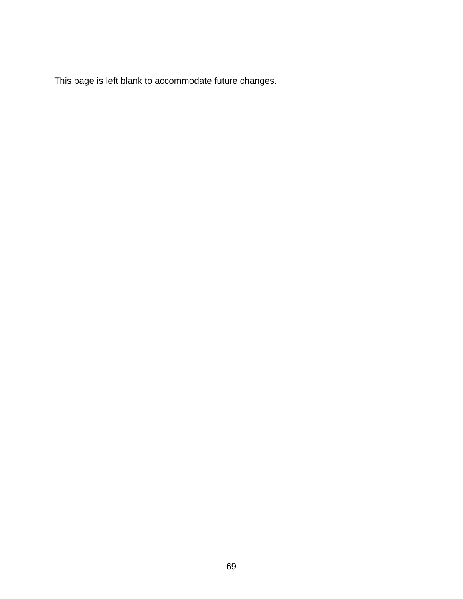This page is left blank to accommodate future changes.